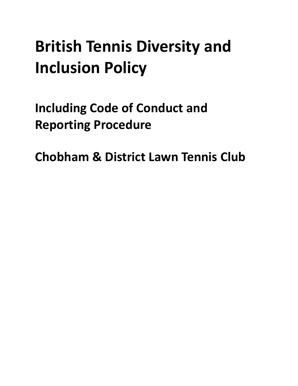# **British Tennis Diversity and Inclusion Policy**

**Including Code of Conduct and Reporting Procedure**

**Chobham & District Lawn Tennis Club**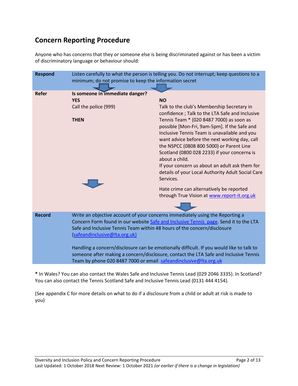### **Concern Reporting Procedure**

Anyone who has concerns that they or someone else is being discriminated against or has been a victim of discriminatory language or behaviour should:

| <b>Respond</b> | Listen carefully to what the person is telling you. Do not interrupt; keep questions to a<br>minimum; do not promise to keep the information secret                                                                                                                                                                                                                                                                                                                                                                                        |                                                                                                                                                                                                                                                                                                                                                                                                                                                                                                                                                                                                                                     |
|----------------|--------------------------------------------------------------------------------------------------------------------------------------------------------------------------------------------------------------------------------------------------------------------------------------------------------------------------------------------------------------------------------------------------------------------------------------------------------------------------------------------------------------------------------------------|-------------------------------------------------------------------------------------------------------------------------------------------------------------------------------------------------------------------------------------------------------------------------------------------------------------------------------------------------------------------------------------------------------------------------------------------------------------------------------------------------------------------------------------------------------------------------------------------------------------------------------------|
| <b>Refer</b>   | Is someone in immediate danger?<br><b>YES</b><br>Call the police (999)<br><b>THEN</b>                                                                                                                                                                                                                                                                                                                                                                                                                                                      | <b>NO</b><br>Talk to the club's Membership Secretary in<br>confidence; Talk to the LTA Safe and Inclusive<br>Tennis Team * (020 8487 7000) as soon as<br>possible [Mon-Fri, 9am-5pm]. If the Safe and<br>Inclusive Tennis Team is unavailable and you<br>want advice before the next working day, call<br>the NSPCC (0808 800 5000) or Parent Line<br>Scotland (0800 028 2233) if your concerns is<br>about a child.<br>If your concern us about an adult ask them for<br>details of your Local Authority Adult Social Care<br>Services.<br>Hate crime can alternatively be reported<br>through True Vision at www.report-it.org.uk |
| <b>Record</b>  | Write an objective account of your concerns immediately using the Reporting a<br>Concern Form found in our website Safe and Inclusive Tennis page. Send it to the LTA<br>Safe and Inclusive Tennis Team within 48 hours of the concern/disclosure<br>(safeandinclusive@Ita.org.uk)<br>Handling a concern/disclosure can be emotionally difficult. If you would like to talk to<br>someone after making a concern/disclosure, contact the LTA Safe and Inclusive Tennis<br>Team by phone 020 8487 7000 or email safeandinclusive@lta.org.uk |                                                                                                                                                                                                                                                                                                                                                                                                                                                                                                                                                                                                                                     |

**\*** In Wales? You can also contact the Wales Safe and Inclusive Tennis Lead (029 2046 3335). In Scotland? You can also contact the Tennis Scotland Safe and Inclusive Tennis Lead (0131 444 4154).

(See appendix C for more details on what to do if a disclosure from a child or adult at risk is made to you)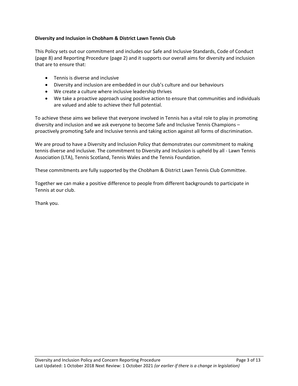#### **Diversity and Inclusion in Chobham & District Lawn Tennis Club**

This Policy sets out our commitment and includes our Safe and Inclusive Standards, Code of Conduct (page 8) and Reporting Procedure (page 2) and it supports our overall aims for diversity and inclusion that are to ensure that:

- Tennis is diverse and inclusive
- Diversity and inclusion are embedded in our club's culture and our behaviours
- We create a culture where inclusive leadership thrives
- We take a proactive approach using positive action to ensure that communities and individuals are valued and able to achieve their full potential.

To achieve these aims we believe that everyone involved in Tennis has a vital role to play in promoting diversity and inclusion and we ask everyone to become Safe and Inclusive Tennis Champions – proactively promoting Safe and Inclusive tennis and taking action against all forms of discrimination.

We are proud to have a Diversity and Inclusion Policy that demonstrates our commitment to making tennis diverse and inclusive. The commitment to Diversity and Inclusion is upheld by all - Lawn Tennis Association (LTA), Tennis Scotland, Tennis Wales and the Tennis Foundation.

These commitments are fully supported by the Chobham & District Lawn Tennis Club Committee.

Together we can make a positive difference to people from different backgrounds to participate in Tennis at our club.

Thank you.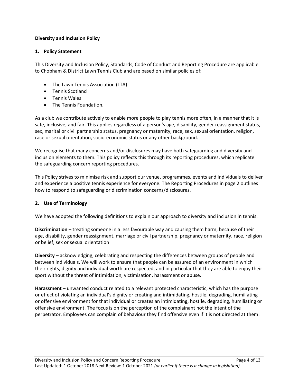#### **Diversity and Inclusion Policy**

#### **1. Policy Statement**

This Diversity and Inclusion Policy, Standards, Code of Conduct and Reporting Procedure are applicable to Chobham & District Lawn Tennis Club and are based on similar policies of:

- The Lawn Tennis Association (LTA)
- Tennis Scotland
- Tennis Wales
- The Tennis Foundation.

As a club we contribute actively to enable more people to play tennis more often, in a manner that it is safe, inclusive, and fair. This applies regardless of a person's age, disability, gender reassignment status, sex, marital or civil partnership status, pregnancy or maternity, race, sex, sexual orientation, religion, race or sexual orientation, socio-economic status or any other background.

We recognise that many concerns and/or disclosures may have both safeguarding and diversity and inclusion elements to them. This policy reflects this through its reporting procedures, which replicate the safeguarding concern reporting procedures.

This Policy strives to minimise risk and support our venue, programmes, events and individuals to deliver and experience a positive tennis experience for everyone. The Reporting Procedures in page 2 outlines how to respond to safeguarding or discrimination concerns/disclosures.

#### **2. Use of Terminology**

We have adopted the following definitions to explain our approach to diversity and inclusion in tennis:

**Discrimination** – treating someone in a less favourable way and causing them harm, because of their age, disability, gender reassignment, marriage or civil partnership, pregnancy or maternity, race, religion or belief, sex or sexual orientation

**Diversity** – acknowledging, celebrating and respecting the differences between groups of people and between individuals. We will work to ensure that people can be assured of an environment in which their rights, dignity and individual worth are respected, and in particular that they are able to enjoy their sport without the threat of intimidation, victimisation, harassment or abuse.

**Harassment** – unwanted conduct related to a relevant protected characteristic, which has the purpose or effect of violating an individual's dignity or creating and intimidating, hostile, degrading, humiliating or offensive environment for that individual or creates an intimidating, hostile, degrading, humiliating or offensive environment. The focus is on the perception of the complainant not the intent of the perpetrator. Employees can complain of behaviour they find offensive even if it is not directed at them.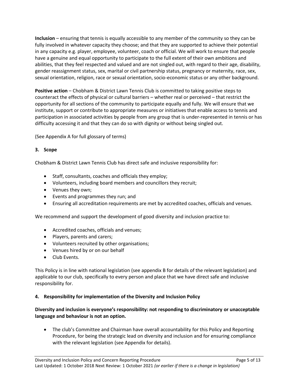**Inclusion** – ensuring that tennis is equally accessible to any member of the community so they can be fully involved in whatever capacity they choose; and that they are supported to achieve their potential in any capacity e.g. player, employee, volunteer, coach or official. We will work to ensure that people have a genuine and equal opportunity to participate to the full extent of their own ambitions and abilities, that they feel respected and valued and are not singled out, with regard to their age, disability, gender reassignment status, sex, marital or civil partnership status, pregnancy or maternity, race, sex, sexual orientation, religion, race or sexual orientation, socio-economic status or any other background.

**Positive action** – Chobham & District Lawn Tennis Club is committed to taking positive steps to counteract the effects of physical or cultural barriers – whether real or perceived – that restrict the opportunity for all sections of the community to participate equally and fully. We will ensure that we institute, support or contribute to appropriate measures or initiatives that enable access to tennis and participation in associated activities by people from any group that is under-represented in tennis or has difficulty accessing it and that they can do so with dignity or without being singled out.

(See Appendix A for full glossary of terms)

#### **3. Scope**

Chobham & District Lawn Tennis Club has direct safe and inclusive responsibility for:

- Staff, consultants, coaches and officials they employ;
- Volunteers, including board members and councillors they recruit;
- Venues they own;
- Events and programmes they run; and
- Ensuring all accreditation requirements are met by accredited coaches, officials and venues.

We recommend and support the development of good diversity and inclusion practice to:

- Accredited coaches, officials and venues;
- Players, parents and carers;
- Volunteers recruited by other organisations;
- Venues hired by or on our behalf
- Club Events.

This Policy is in line with national legislation (see appendix B for details of the relevant legislation) and applicable to our club, specifically to every person and place that we have direct safe and inclusive responsibility for.

#### **4. Responsibility for implementation of the Diversity and Inclusion Policy**

#### **Diversity and inclusion is everyone's responsibility: not responding to discriminatory or unacceptable language and behaviour is not an option.**

 The club's Committee and Chairman have overall accountability for this Policy and Reporting Procedure, for being the strategic lead on diversity and inclusion and for ensuring compliance with the relevant legislation (see Appendix for details).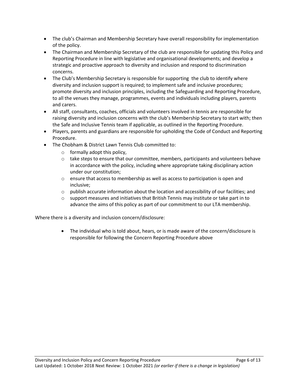- The club's Chairman and Membership Secretary have overall responsibility for implementation of the policy.
- The Chairman and Membership Secretary of the club are responsible for updating this Policy and Reporting Procedure in line with legislative and organisational developments; and develop a strategic and proactive approach to diversity and inclusion and respond to discrimination concerns.
- The Club's Membership Secretary is responsible for supporting the club to identify where diversity and inclusion support is required; to implement safe and inclusive procedures; promote diversity and inclusion principles, including the Safeguarding and Reporting Procedure, to all the venues they manage, programmes, events and individuals including players, parents and carers.
- All staff, consultants, coaches, officials and volunteers involved in tennis are responsible for raising diversity and inclusion concerns with the club's Membership Secretary to start with; then the Safe and Inclusive Tennis team if applicable, as outlined in the Reporting Procedure.
- Players, parents and guardians are responsible for upholding the Code of Conduct and Reporting Procedure.
- The Chobham & District Lawn Tennis Club committed to:
	- o formally adopt this policy,
	- $\circ$  take steps to ensure that our committee, members, participants and volunteers behave in accordance with the policy, including where appropriate taking disciplinary action under our constitution;
	- $\circ$  ensure that access to membership as well as access to participation is open and inclusive;
	- $\circ$  publish accurate information about the location and accessibility of our facilities; and
	- $\circ$  support measures and initiatives that British Tennis may institute or take part in to advance the aims of this policy as part of our commitment to our LTA membership.

Where there is a diversity and inclusion concern/disclosure:

 The individual who is told about, hears, or is made aware of the concern/disclosure is responsible for following the Concern Reporting Procedure above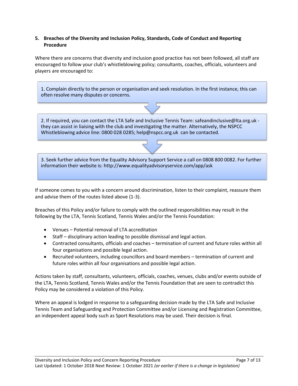#### **5. Breaches of the Diversity and Inclusion Policy, Standards, Code of Conduct and Reporting Procedure**

Where there are concerns that diversity and inclusion good practice has not been followed, all staff are encouraged to follow your club's whistleblowing policy; consultants, coaches, officials, volunteers and players are encouraged to:

1. Complain directly to the person or organisation and seek resolution. In the first instance, this can often resolve many disputes or concerns.



2. If required, you can contact the LTA Safe and Inclusive Tennis Team: safeandinclusive@lta.org.uk they can assist in liaising with the club and investigating the matter. Alternatively, the NSPCC Whistleblowing advice line: 0800 028 0285; help@nspcc.org.uk can be contacted.



If someone comes to you with a concern around discrimination, listen to their complaint, reassure them and advise them of the routes listed above (1-3).

Breaches of this Policy and/or failure to comply with the outlined responsibilities may result in the following by the LTA, Tennis Scotland, Tennis Wales and/or the Tennis Foundation:

- Venues Potential removal of LTA accreditation
- Staff disciplinary action leading to possible dismissal and legal action.
- Contracted consultants, officials and coaches termination of current and future roles within all four organisations and possible legal action.
- Recruited volunteers, including councillors and board members termination of current and future roles within all four organisations and possible legal action.

Actions taken by staff, consultants, volunteers, officials, coaches, venues, clubs and/or events outside of the LTA, Tennis Scotland, Tennis Wales and/or the Tennis Foundation that are seen to contradict this Policy may be considered a violation of this Policy.

Where an appeal is lodged in response to a safeguarding decision made by the LTA Safe and Inclusive Tennis Team and Safeguarding and Protection Committee and/or Licensing and Registration Committee, an independent appeal body such as Sport Resolutions may be used. Their decision is final.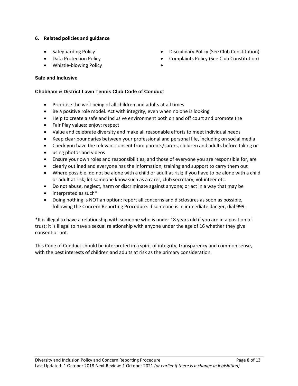#### **6. Related policies and guidance**

- 
- 
- Whistle-blowing Policy

## **Safe and Inclusive**

#### **Chobham & District Lawn Tennis Club Code of Conduct**

- Prioritise the well-being of all children and adults at all times
- Be a positive role model. Act with integrity, even when no one is looking
- Help to create a safe and inclusive environment both on and off court and promote the
- Fair Play values: enjoy; respect
- Value and celebrate diversity and make all reasonable efforts to meet individual needs
- Keep clear boundaries between your professional and personal life, including on social media
- Check you have the relevant consent from parents/carers, children and adults before taking or
- using photos and videos
- Ensure your own roles and responsibilities, and those of everyone you are responsible for, are
- clearly outlined and everyone has the information, training and support to carry them out
- Where possible, do not be alone with a child or adult at risk; if you have to be alone with a child or adult at risk; let someone know such as a carer, club secretary, volunteer etc.
- Do not abuse, neglect, harm or discriminate against anyone; or act in a way that may be
- interpreted as such\*
- Doing nothing is NOT an option: report all concerns and disclosures as soon as possible, following the Concern Reporting Procedure. If someone is in immediate danger, dial 999.

\*It is illegal to have a relationship with someone who is under 18 years old if you are in a position of trust; it is illegal to have a sexual relationship with anyone under the age of 16 whether they give consent or not.

This Code of Conduct should be interpreted in a spirit of integrity, transparency and common sense, with the best interests of children and adults at risk as the primary consideration.

Diversity and Inclusion Policy and Concern Reporting Procedure **Page 12** Page 8 of 13 Last Updated: 1 October 2018 Next Review: 1 October 2021 *(or earlier if there is a change in legislation)* 

- [Safeguarding Policy](https://www.lta.org.uk/globalassets/about-lta/safeguarding/british-tennis-safeguarding-policy.pdf) **Disciplinary Policy (See Club Constitution)** Disciplinary Policy (See Club Constitution)
- Data Protection Policy **Complaints Policy (See Club Constitution)** 
	-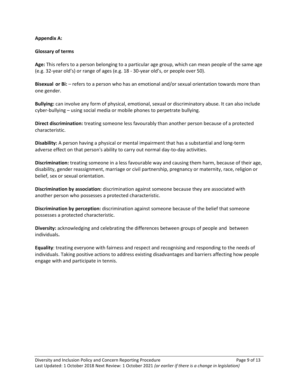#### **Appendix A:**

#### **Glossary of terms**

**Age:** This refers to a person belonging to a particular age group, which can mean people of the same age (e.g. 32-year old's) or range of ages (e.g. 18 - 30-year old's, or people over 50).

**Bisexual or Bi:** – refers to a person who has an emotional and/or sexual orientation towards more than one gender.

**Bullying:** can involve any form of physical, emotional, sexual or discriminatory abuse. It can also include cyber-bullying – using social media or mobile phones to perpetrate bullying.

**Direct discrimination:** treating someone less favourably than another person because of a protected characteristic.

**Disability:** A person having a physical or mental impairment that has a substantial and long-term adverse effect on that person's ability to carry out normal day-to-day activities.

**Discrimination:** treating someone in a less favourable way and causing them harm, because of their age, disability, gender reassignment, marriage or civil partnership, pregnancy or maternity, race, religion or belief, sex or sexual orientation.

**Discrimination by association:** discrimination against someone because they are associated with another person who possesses a protected characteristic.

**Discrimination by perception:** discrimination against someone because of the belief that someone possesses a protected characteristic.

**Diversity:** acknowledging and celebrating the differences between groups of people and between individuals**.**

**Equality**: treating everyone with fairness and respect and recognising and responding to the needs of individuals. Taking positive actions to address existing disadvantages and barriers affecting how people engage with and participate in tennis.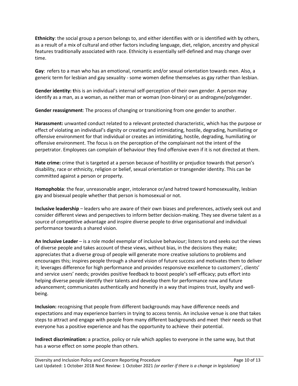**Ethnicity**: the social group a person belongs to, and either identifies with or is identified with by others, as a result of a mix of cultural and other factors including language, diet, religion, ancestry and physical features traditionally associated with race. Ethnicity is essentially self-defined and may change over time.

**Gay**: refers to a man who has an emotional, romantic and/or sexual orientation towards men. Also, a generic term for lesbian and gay sexuality - some women define themselves as gay rather than lesbian.

**Gender identity: t**his is an individual's internal self-perception of their own gender. A person may identify as a man, as a woman, as neither man or woman (non-binary) or as androgyne/polygender.

**Gender reassignment**: The process of changing or transitioning from one gender to another.

**Harassment:** unwanted conduct related to a relevant protected characteristic, which has the purpose or effect of violating an individual's dignity or creating and intimidating, hostile, degrading, humiliating or offensive environment for that individual or creates an intimidating, hostile, degrading, humiliating or offensive environment. The focus is on the perception of the complainant not the intent of the perpetrator. Employees can complain of behaviour they find offensive even if it is not directed at them.

**Hate crime:** crime that is targeted at a person because of hostility or prejudice towards that person's disability, race or ethnicity, religion or belief, sexual orientation or transgender identity. This can be committed against a person or property.

**Homophobia**: the fear, unreasonable anger, intolerance or/and hatred toward homosexuality, lesbian gay and bisexual people whether that person is homosexual or not.

**Inclusive leadership** – leaders who are aware of their own biases and preferences, actively seek out and consider different views and perspectives to inform better decision-making. They see diverse talent as a source of competitive advantage and inspire diverse people to drive organisational and individual performance towards a shared vision.

**An Inclusive Leader** – is a role model exemplar of inclusive behaviour; listens to and seeks out the views of diverse people and takes account of these views, without bias, in the decisions they make; appreciates that a diverse group of people will generate more creative solutions to problems and encourages this; inspires people through a shared vision of future success and motivates them to deliver it; leverages difference for high performance and provides responsive excellence to customers', clients' and service users' needs; provides positive feedback to boost people's self-efficacy; puts effort into helping diverse people identify their talents and develop them for performance now and future advancement; communicates authentically and honestly in a way that inspires trust, loyalty and wellbeing.

**Inclusion:** recognising that people from different backgrounds may have difference needs and expectations and may experience barriers in trying to access tennis. An inclusive venue is one that takes steps to attract and engage with people from many different backgrounds and meet their needs so that everyone has a positive experience and has the opportunity to achieve their potential.

**Indirect discrimination:** a practice, policy or rule which applies to everyone in the same way, but that has a worse effect on some people than others.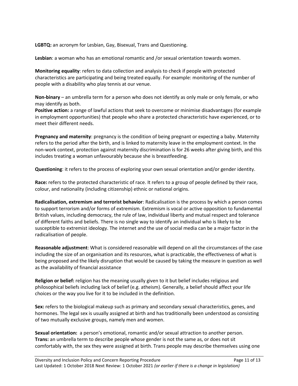**LGBTQ:** an acronym for Lesbian, Gay, Bisexual, Trans and Questioning.

**Lesbian**: a woman who has an emotional romantic and /or sexual orientation towards women.

**Monitoring equality**: refers to data collection and analysis to check if people with protected characteristics are participating and being treated equally. For example: monitoring of the number of people with a disability who play tennis at our venue.

**Non-binary** – an umbrella term for a person who does not identify as only male or only female, or who may identify as both.

**Positive action:** a range of lawful actions that seek to overcome or minimise disadvantages (for example in employment opportunities) that people who share a protected characteristic have experienced, or to meet their different needs.

**Pregnancy and maternity**: pregnancy is the condition of being pregnant or expecting a baby. Maternity refers to the period after the birth, and is linked to maternity leave in the employment context. In the non-work context, protection against maternity discrimination is for 26 weeks after giving birth, and this includes treating a woman unfavourably because she is breastfeeding.

**Questioning**: it refers to the process of exploring your own sexual orientation and/or gender identity.

**Race:** refers to the protected characteristic of race. It refers to a group of people defined by their race, colour, and nationality (including citizenship) ethnic or national origins.

**Radicalisation, extremism and terrorist behavior**: Radicalisation is the process by which a person comes to support terrorism and/or forms of extremism. Extremism is vocal or active opposition to fundamental British values, including democracy, the rule of law, individual liberty and mutual respect and tolerance of different faiths and beliefs. There is no single way to identify an individual who is likely to be susceptible to extremist ideology. The internet and the use of social media can be a major factor in the radicalisation of people.

**Reasonable adjustment**: What is considered reasonable will depend on all the circumstances of the case including the size of an organisation and its resources, what is practicable, the effectiveness of what is being proposed and the likely disruption that would be caused by taking the measure in question as well as the availability of financial assistance

**Religion or belief:** religion has the meaning usually given to it but belief includes religious and philosophical beliefs including lack of belief (e.g. atheism). Generally, a belief should affect your life choices or the way you live for it to be included in the definition.

**Sex:** refers to the biological makeup such as primary and secondary sexual characteristics, genes, and hormones. The legal sex is usually assigned at birth and has traditionally been understood as consisting of two mutually exclusive groups, namely men and women.

**Sexual orientation:** a person's emotional, romantic and/or sexual attraction to another person. **Trans:** an umbrella term to describe people whose gender is not the same as, or does not sit comfortably with, the sex they were assigned at birth. Trans people may describe themselves using one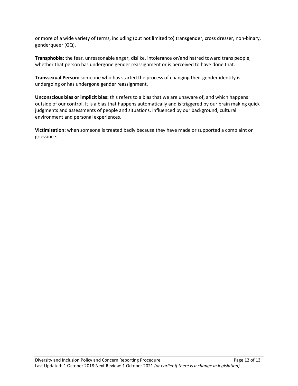or more of a wide variety of terms, including (but not limited to) transgender, cross dresser, non-binary, genderqueer (GQ).

**Transphobia**: the fear, unreasonable anger, dislike, intolerance or/and hatred toward trans people, whether that person has undergone gender reassignment or is perceived to have done that.

**Transsexual Person:** someone who has started the process of changing their gender identity is undergoing or has undergone gender reassignment.

**Unconscious bias or implicit bias:** this refers to a bias that we are unaware of, and which happens outside of our control. It is a bias that happens automatically and is triggered by our brain making quick judgments and assessments of people and situations, influenced by our background, cultural environment and personal experiences.

**Victimisation:** when someone is treated badly because they have made or supported a complaint or grievance.